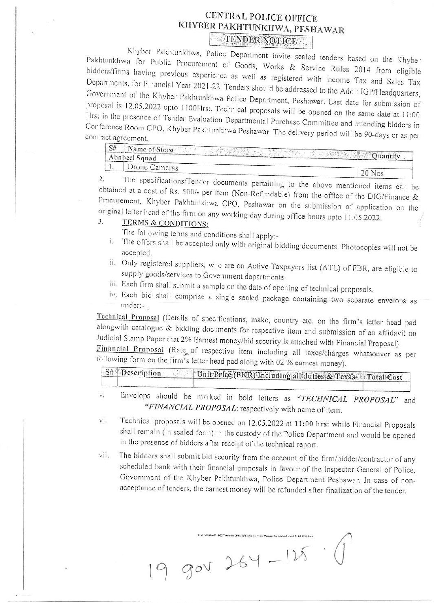## CENTRAL POLICE OFFICE KHYBER PAKHTUNKHWA, PESHAWAR TENDER NOTICE

Khyber Pakhtunkhwa, Police Department invite sealed tenders based on the Khyber Pakhtunkhwa for Public Procurement of Goods, Works & Service Rules 2014 from eligible bidders/firms having previous experience as well as registered with income Tax and Sales Tax Departments, for Financial Year 2021-22. Tenders should be addressed to the Addl: IGP/Headquarters, Government of the Khyber Pakhtunkhwa Police Department, Peshawar. Last date for submission of proposal is 12.05.2022 upto 1100Hrs:. Technical proposals will be opened on the same date at 11:00 Hrs: in the presence of Tender Evaluation Departmental Purchase Committee and intending bidders in Conference Room CPO, Khyber Pakhtunkhwa Peshawar. The delivery period will be 90-days or as per contract agreement.

| S# | Name of Store<br>Ababeel Squad | 1860<br><b>Community</b> Cuantity |
|----|--------------------------------|-----------------------------------|
|    | Drone Cameras                  |                                   |
|    |                                |                                   |

The specifications/Tender documents pertaining to the above mentioned items can be 2. obtained at a cost of Rs. 500/- per item (Non-Refundable) from the office of the DIG/Finance & Procurement, Khyber Pakhtunkhwa CPO, Peshawar on the submission of application on the original letter head of the firm on any working day during office hours upto 11.05.2022.

## $\overline{3}$ . TERMS & CONDITIONS:

The following terms and conditions shall apply:-

- i. The offers shall be accepted only with original bidding documents. Photocopies will not be accepted.
- ii. Only registered suppliers, who are on Active Taxpayers list (ATL) of FBR, are eligible to supply goods/services to Government departments.
- iii. Each firm shall submit a sample on the date of opening of technical proposals.
- iv. Each bid shall comprise a single sealed package containing two separate envelops as under:-

Technical Proposal (Details of specifications, make, country etc. on the firm's letter head pad alongwith catalogue & bidding documents for respective item and submission of an affidavit on Judicial Stamp Paper that 2% Earnest money/bid security is attached with Financial Proposal).

Financial Proposal (Rate of respective item including all taxes/charges whatsoever as per following form on the firm's letter head pad along with 02 % earnest money).

| $S#$ Description | Unit Price (PKR) Including all duties & Texas. Total Cost |  |
|------------------|-----------------------------------------------------------|--|
|                  |                                                           |  |

Envelops should be marked in bold letters as "TECHNICAL PROPOSAL" and v, "FINANCIAL PROPOSAL: respectively with name of item.

- Technical proposals will be opened on 12.05.2022 at 11:00 hrs: while Financial Proposals vi. shall remain (in sealed form) in the custody of the Police Department and would be opened in the presence of bidders after receipt of the technical report.
- The bidders shall submit bid security from the account of the firm/bidder/contractor of any vii. scheduled bank with their financial proposals in favour of the Inspector General of Police, Government of the Khyber Pakhtunkhwa, Police Department Peshawar. In case of nonacceptance of tenders, the earnest money will be refunded after finalization of the tender.

 $9900264-115$